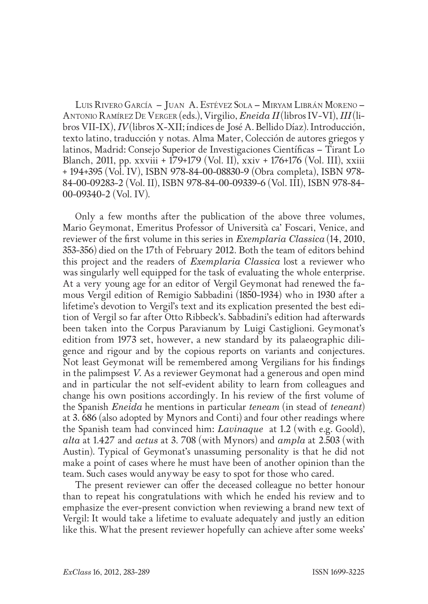Luis Rivero García – Juan A. Estévez Sola – Miryam Librán Moreno – Antonio Ramírez De Verger (eds.), Virgilio, *Eneida II* (libros IV-VI), *III* (libros VII-IX), *IV* (libros X-XII; índices de José A. Bellido Díaz). Introducción, texto latino, traducción y notas. Alma Mater, Colección de autores griegos y latinos, Madrid: Consejo Superior de Investigaciones Científicas – Tirant Lo Blanch, 2011, pp. xxviii + 179+179 (Vol. II), xxiv + 176+176 (Vol. III), xxiii + 194+395 (Vol. IV), ISBN 978-84-00-08830-9 (Obra completa), ISBN 978- 84-00-09283-2 (Vol. II), ISBN 978-84-00-09339-6 (Vol. III), ISBN 978-84- 00-09340-2 (Vol. IV).

Only a few months after the publication of the above three volumes, Mario Geymonat, Emeritus Professor of Università ca' Foscari, Venice, and reviewer of the first volume in this series in *Exemplaria Classica* (14, 2010, 353-356) died on the 17th of February 2012. Both the team of editors behind this project and the readers of *Exemplaria Classica* lost a reviewer who was singularly well equipped for the task of evaluating the whole enterprise. At a very young age for an editor of Vergil Geymonat had renewed the famous Vergil edition of Remigio Sabbadini (1850-1934) who in 1930 after a lifetime's devotion to Vergil's text and its explication presented the best edition of Vergil so far after Otto Ribbeck's. Sabbadini's edition had afterwards been taken into the Corpus Paravianum by Luigi Castiglioni. Geymonat's edition from 1973 set, however, a new standard by its palaeographic diligence and rigour and by the copious reports on variants and conjectures. Not least Geymonat will be remembered among Vergilians for his findings in the palimpsest *V*. As a reviewer Geymonat had a generous and open mind and in particular the not self-evident ability to learn from colleagues and change his own positions accordingly. In his review of the first volume of the Spanish *Eneida* he mentions in particular *teneam* (in stead of *teneant*) at 3. 686 (also adopted by Mynors and Conti) and four other readings where the Spanish team had convinced him: *Lavinaque* at 1.2 (with e.g. Goold), *alta* at 1.427 and *actus* at 3. 708 (with Mynors) and *ampla* at 2.503 (with Austin). Typical of Geymonat's unassuming personality is that he did not make a point of cases where he must have been of another opinion than the team. Such cases would anyway be easy to spot for those who cared.

The present reviewer can offer the deceased colleague no better honour than to repeat his congratulations with which he ended his review and to emphasize the ever-present conviction when reviewing a brand new text of Vergil: It would take a lifetime to evaluate adequately and justly an edition like this. What the present reviewer hopefully can achieve after some weeks'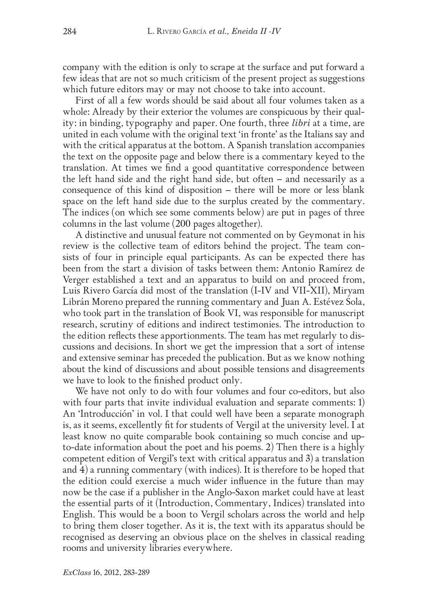company with the edition is only to scrape at the surface and put forward a few ideas that are not so much criticism of the present project as suggestions which future editors may or may not choose to take into account.

First of all a few words should be said about all four volumes taken as a whole: Already by their exterior the volumes are conspicuous by their quality: in binding, typography and paper. One fourth, three *libri* at a time, are united in each volume with the original text 'in fronte' as the Italians say and with the critical apparatus at the bottom. A Spanish translation accompanies the text on the opposite page and below there is a commentary keyed to the translation. At times we find a good quantitative correspondence between the left hand side and the right hand side, but often – and necessarily as a consequence of this kind of disposition – there will be more or less blank space on the left hand side due to the surplus created by the commentary. The indices (on which see some comments below) are put in pages of three columns in the last volume (200 pages altogether).

A distinctive and unusual feature not commented on by Geymonat in his review is the collective team of editors behind the project. The team consists of four in principle equal participants. As can be expected there has been from the start a division of tasks between them: Antonio Ramírez de Verger established a text and an apparatus to build on and proceed from, Luis Rivero García did most of the translation (I-IV and VII-XII), Miryam Librán Moreno prepared the running commentary and Juan A. Estévez Sola, who took part in the translation of Book VI, was responsible for manuscript research, scrutiny of editions and indirect testimonies. The introduction to the edition reflects these apportionments. The team has met regularly to discussions and decisions. In short we get the impression that a sort of intense and extensive seminar has preceded the publication. But as we know nothing about the kind of discussions and about possible tensions and disagreements we have to look to the finished product only.

We have not only to do with four volumes and four co-editors, but also with four parts that invite individual evaluation and separate comments: 1) An 'Introducción' in vol. I that could well have been a separate monograph is, as it seems, excellently fit for students of Vergil at the university level. I at least know no quite comparable book containing so much concise and upto-date information about the poet and his poems. 2) Then there is a highly competent edition of Vergil's text with critical apparatus and 3) a translation and 4) a running commentary (with indices). It is therefore to be hoped that the edition could exercise a much wider influence in the future than may now be the case if a publisher in the Anglo-Saxon market could have at least the essential parts of it (Introduction, Commentary, Indices) translated into English. This would be a boon to Vergil scholars across the world and help to bring them closer together. As it is, the text with its apparatus should be recognised as deserving an obvious place on the shelves in classical reading rooms and university libraries everywhere.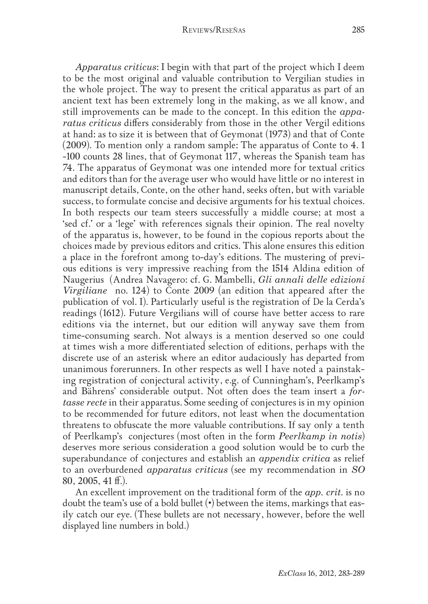*Apparatus criticus*: I begin with that part of the project which I deem to be the most original and valuable contribution to Vergilian studies in the whole project. The way to present the critical apparatus as part of an ancient text has been extremely long in the making, as we all know, and still improvements can be made to the concept. In this edition the *apparatus criticus* differs considerably from those in the other Vergil editions at hand: as to size it is between that of Geymonat (1973) and that of Conte (2009). To mention only a random sample: The apparatus of Conte to 4. 1 -100 counts 28 lines, that of Geymonat 117, whereas the Spanish team has 74. The apparatus of Geymonat was one intended more for textual critics and editors than for the average user who would have little or no interest in manuscript details, Conte, on the other hand, seeks often, but with variable success, to formulate concise and decisive arguments for his textual choices. In both respects our team steers successfully a middle course; at most a 'sed cf.' or a 'lege' with references signals their opinion. The real novelty of the apparatus is, however, to be found in the copious reports about the choices made by previous editors and critics. This alone ensures this edition a place in the forefront among to-day's editions. The mustering of previous editions is very impressive reaching from the 1514 Aldina edition of Naugerius (Andrea Navagero: cf. G. Mambelli, *Gli annali delle edizioni Virgiliane* no. 124) to Conte 2009 (an edition that appeared after the publication of vol. I). Particularly useful is the registration of De la Cerda's readings (1612). Future Vergilians will of course have better access to rare editions via the internet, but our edition will anyway save them from time-consuming search. Not always is a mention deserved so one could at times wish a more differentiated selection of editions, perhaps with the discrete use of an asterisk where an editor audaciously has departed from unanimous forerunners. In other respects as well I have noted a painstaking registration of conjectural activity, e.g. of Cunningham's, Peerlkamp's and Bährens' considerable output. Not often does the team insert a *fortasse recte* in their apparatus. Some seeding of conjectures is in my opinion to be recommended for future editors, not least when the documentation threatens to obfuscate the more valuable contributions. If say only a tenth of Peerlkamp's conjectures (most often in the form *Peerlkamp in notis*) deserves more serious consideration a good solution would be to curb the superabundance of conjectures and establish an *appendix critica* as relief to an overburdened *apparatus criticus* (see my recommendation in *SO* 80, 2005, 41 ff.).

An excellent improvement on the traditional form of the *app. crit.* is no doubt the team's use of a bold bullet (•) between the items, markings that easily catch our eye. (These bullets are not necessary, however, before the well displayed line numbers in bold.)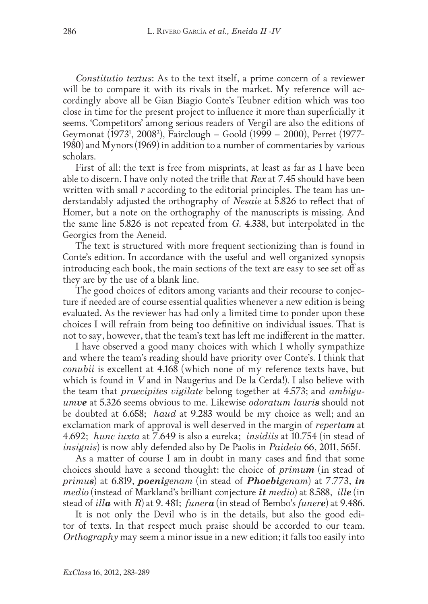*Constitutio textus*: As to the text itself, a prime concern of a reviewer will be to compare it with its rivals in the market. My reference will accordingly above all be Gian Biagio Conte's Teubner edition which was too close in time for the present project to influence it more than superficially it seems. 'Competitors' among serious readers of Vergil are also the editions of Geymonat (19731 , 20082 ), Fairclough – Goold (1999 – 2000), Perret (1977- 1980) and Mynors (1969) in addition to a number of commentaries by various scholars.

First of all: the text is free from misprints, at least as far as I have been able to discern. I have only noted the trifle that *Rex* at 7.45 should have been written with small *r* according to the editorial principles. The team has understandably adjusted the orthography of *Nesaie* at 5.826 to reflect that of Homer, but a note on the orthography of the manuscripts is missing. And the same line 5.826 is not repeated from *G*. 4.338, but interpolated in the Georgics from the Aeneid.

The text is structured with more frequent sectionizing than is found in Conte's edition. In accordance with the useful and well organized synopsis introducing each book, the main sections of the text are easy to see set off as they are by the use of a blank line.

The good choices of editors among variants and their recourse to conjecture if needed are of course essential qualities whenever a new edition is being evaluated. As the reviewer has had only a limited time to ponder upon these choices I will refrain from being too definitive on individual issues. That is not to say, however, that the team's text has left me indifferent in the matter.

I have observed a good many choices with which I wholly sympathize and where the team's reading should have priority over Conte's. I think that *conubii* is excellent at 4.168 (which none of my reference texts have, but which is found in *V* and in Naugerius and De la Cerda!). I also believe with the team that *praecipites vigilate* belong together at 4.573; and *ambiguumve* at 5.326 seems obvious to me. Likewise *odoratum lauris* should not be doubted at 6.658; *haud* at 9.283 would be my choice as well; and an exclamation mark of approval is well deserved in the margin of *repertam* at 4.692; *hunc iuxta* at 7.649 is also a eureka; *insidiis* at 10.754 (in stead of *insignis*) is now ably defended also by De Paolis in *Paideia* 66, 2011, 565f.

As a matter of course I am in doubt in many cases and find that some choices should have a second thought: the choice of *primum* (in stead of *primus*) at 6.819, *poenigenam* (in stead of *Phoebigenam*) at 7.773, *in medio* (instead of Markland's brilliant conjecture *it medio*) at 8.588, *ille* (in stead of *illa* with *R*) at 9. 481; *funera* (in stead of Bembo's *funere*) at 9.486.

It is not only the Devil who is in the details, but also the good editor of texts. In that respect much praise should be accorded to our team. *Orthography* may seem a minor issue in a new edition; it falls too easily into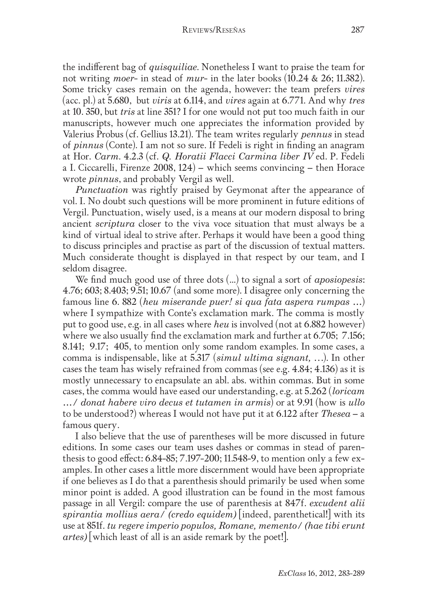the indifferent bag of *quisquiliae*. Nonetheless I want to praise the team for not writing *moer*- in stead of *mur*- in the later books (10.24 & 26; 11.382). Some tricky cases remain on the agenda, however: the team prefers *vires* (acc. pl.) at 5.680, but *viris* at 6.114, and *vires* again at 6.771. And why *tres* at 10. 350, but *tris* at line 351? I for one would not put too much faith in our manuscripts, however much one appreciates the information provided by Valerius Probus (cf. Gellius 13.21). The team writes regularly *pennus* in stead of *pinnus* (Conte). I am not so sure. If Fedeli is right in finding an anagram at Hor. *Carm*. 4.2.3 (cf. *Q. Horatii Flacci Carmina liber IV* ed. P. Fedeli a I. Ciccarelli, Firenze 2008, 124) – which seems convincing – then Horace wrote *pinnus*, and probably Vergil as well.

*Punctuation* was rightly praised by Geymonat after the appearance of vol. I. No doubt such questions will be more prominent in future editions of Vergil. Punctuation, wisely used, is a means at our modern disposal to bring ancient *scriptura* closer to the viva voce situation that must always be a kind of virtual ideal to strive after. Perhaps it would have been a good thing to discuss principles and practise as part of the discussion of textual matters. Much considerate thought is displayed in that respect by our team, and I seldom disagree.

We find much good use of three dots (...) to signal a sort of *aposiopesis*: 4.76; 603; 8.403; 9.51; 10.67 (and some more). I disagree only concerning the famous line 6. 882 (*heu miserande puer! si qua fata aspera rumpas …*) where I sympathize with Conte's exclamation mark. The comma is mostly put to good use, e.g. in all cases where *heu* is involved (not at 6.882 however) where we also usually find the exclamation mark and further at 6.705; 7.156; 8.141; 9.17; 405, to mention only some random examples. In some cases, a comma is indispensable, like at 5.317 (*simul ultima signant,* …). In other cases the team has wisely refrained from commas (see e.g. 4.84; 4.136) as it is mostly unnecessary to encapsulate an abl. abs. within commas. But in some cases, the comma would have eased our understanding, e.g. at 5.262 (*loricam …/ donat habere viro decus et tutamen in armis*) or at 9.91 (how is *ullo* to be understood?) whereas I would not have put it at 6.122 after *Thesea* – a famous query.

I also believe that the use of parentheses will be more discussed in future editions. In some cases our team uses dashes or commas in stead of parenthesis to good effect: 6.84-85; 7.197-200; 11.548-9, to mention only a few examples. In other cases a little more discernment would have been appropriate if one believes as I do that a parenthesis should primarily be used when some minor point is added. A good illustration can be found in the most famous passage in all Vergil: compare the use of parenthesis at 847f. *excudent alii spirantia mollius aera/ (credo equidem)* [indeed, parenthetical!] with its use at 851f. *tu regere imperio populos, Romane, memento/ (hae tibi erunt artes)* [which least of all is an aside remark by the poet!].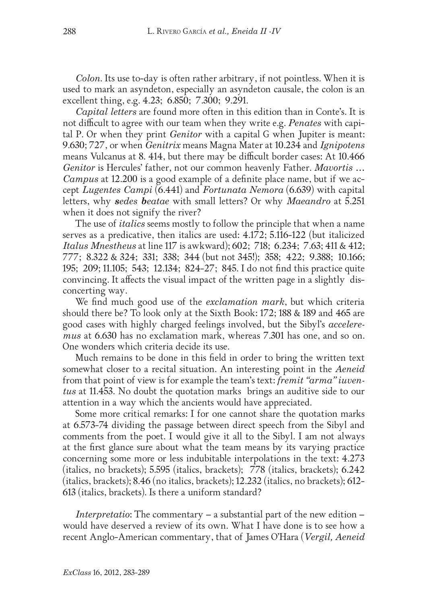*Colon*. Its use to-day is often rather arbitrary, if not pointless. When it is used to mark an asyndeton, especially an asyndeton causale, the colon is an excellent thing, e.g. 4.23; 6.850; 7.300; 9.291.

*Capital letters* are found more often in this edition than in Conte's. It is not difficult to agree with our team when they write e.g. *Penates* with capital P. Or when they print *Genitor* with a capital G when Jupiter is meant: 9.630; 727, or when *Genitrix* means Magna Mater at 10.234 and *Ignipotens* means Vulcanus at 8. 414, but there may be difficult border cases: At 10.466 *Genitor* is Hercules' father, not our common heavenly Father. *Mavortis … Campus* at 12.200 is a good example of a definite place name, but if we accept *Lugentes Campi* (6.441) and *Fortunata Nemora* (6.639) with capital letters, why *sedes beatae* with small letters? Or why *Maeandro* at 5.251 when it does not signify the river?

The use of *italics* seems mostly to follow the principle that when a name serves as a predicative, then italics are used: 4.172; 5.116-122 (but italicized *Italus Mnestheus* at line 117 is awkward); 602; 718; 6.234; 7.63; 411 & 412; 777; 8.322 & 324; 331; 338; 344 (but not 345!); 358; 422; 9.388; 10.166; 195; 209; 11.105; 543; 12.134; 824-27; 845. I do not find this practice quite convincing. It affects the visual impact of the written page in a slightly disconcerting way.

We find much good use of the *exclamation mark*, but which criteria should there be? To look only at the Sixth Book: 172; 188 & 189 and 465 are good cases with highly charged feelings involved, but the Sibyl's *acceleremus* at 6.630 has no exclamation mark, whereas 7.301 has one, and so on. One wonders which criteria decide its use.

Much remains to be done in this field in order to bring the written text somewhat closer to a recital situation. An interesting point in the *Aeneid*  from that point of view is for example the team's text: *fremit "arma" iuventus* at 11.453. No doubt the quotation marks brings an auditive side to our attention in a way which the ancients would have appreciated.

Some more critical remarks: I for one cannot share the quotation marks at 6.573-74 dividing the passage between direct speech from the Sibyl and comments from the poet. I would give it all to the Sibyl. I am not always at the first glance sure about what the team means by its varying practice concerning some more or less indubitable interpolations in the text: 4.273 (italics, no brackets); 5.595 (italics, brackets); 778 (italics, brackets); 6.242 (italics, brackets); 8.46 (no italics, brackets); 12.232 (italics, no brackets); 612- 613 (italics, brackets). Is there a uniform standard?

*Interpretatio*: The commentary – a substantial part of the new edition – would have deserved a review of its own. What I have done is to see how a recent Anglo-American commentary, that of James O'Hara (*Vergil, Aeneid*